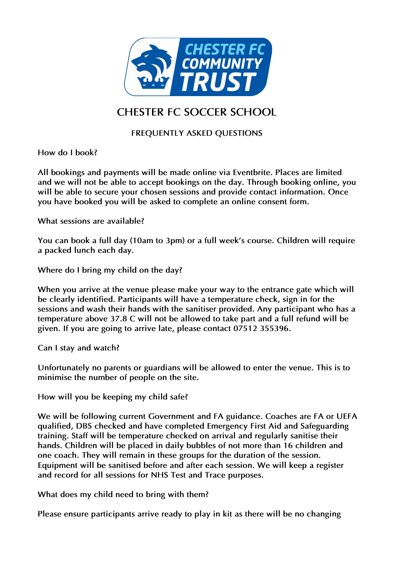

## **CHESTER FC SOCCER SCHOOL**

## **FREQUENTLY ASKED QUESTIONS**

**How do I book?** 

**All bookings and payments will be made online via Eventbrite. Places are limited and we will not be able to accept bookings on the day. Through booking online, you will be able to secure your chosen sessions and provide contact information. Once you have booked you will be asked to complete an online consent form.** 

**What sessions are available?**

**You can book a full day (10am to 3pm) or a full week's course. Children will require a packed lunch each day.**

**Where do I bring my child on the day?** 

**When you arrive at the venue please make your way to the entrance gate which will be clearly identified. Participants will have a temperature check, sign in for the sessions and wash their hands with the sanitiser provided. Any participant who has a temperature above 37.8°C will not be allowed to take part and a full refund will be given. If you are going to arrive late, please contact 07512 355396.** 

**Can I stay and watch?** 

**Unfortunately no parents or guardians will be allowed to enter the venue. This is to minimise the number of people on the site.** 

**How will you be keeping my child safe?** 

**We will be following current Government and FA guidance. Coaches are FA or UEFA qualified, DBS checked and have completed Emergency First Aid and Safeguarding training. Staff will be temperature checked on arrival and regularly sanitise their hands. Children will be placed in daily bubbles of not more than 16 children and one coach. They will remain in these groups for the duration of the session. Equipment will be sanitised before and after each session. We will keep a register and record for all sessions for NHS Test and Trace purposes.**

**What does my child need to bring with them?**

**Please ensure participants arrive ready to play in kit as there will be no changing**